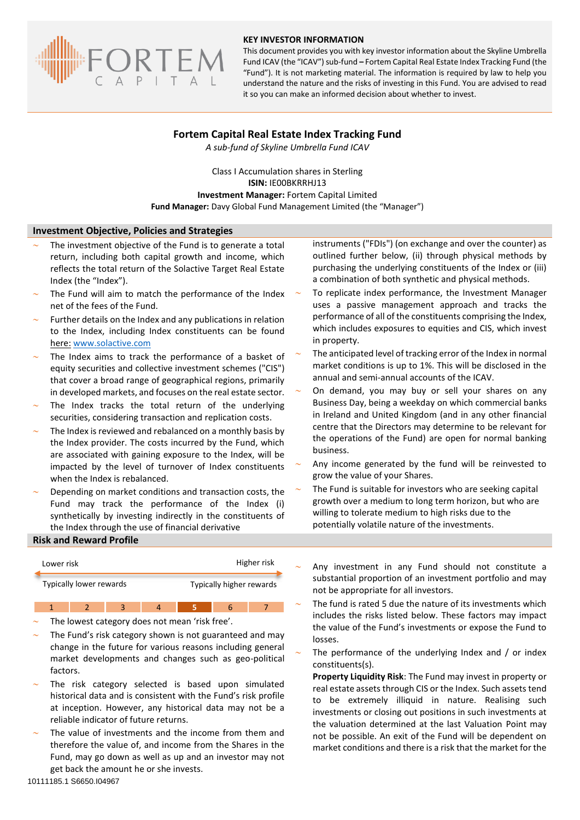

#### **KEY INVESTOR INFORMATION**

This document provides you with key investor information about the Skyline Umbrella Fund ICAV (the "ICAV") sub-fund **–** Fortem Capital Real Estate Index Tracking Fund (the "Fund"). It is not marketing material. The information is required by law to help you understand the nature and the risks of investing in this Fund. You are advised to read it so you can make an informed decision about whether to invest.

# **Fortem Capital Real Estate Index Tracking Fund**

*A sub-fund of Skyline Umbrella Fund ICAV*

Class I Accumulation shares in Sterling **ISIN:** IE00BKRRHJ13 **Investment Manager:** Fortem Capital Limited **Fund Manager:** Davy Global Fund Management Limited (the "Manager")

### **Investment Objective, Policies and Strategies**

- The investment objective of the Fund is to generate a total return, including both capital growth and income, which reflects the total return of the Solactive Target Real Estate Index (the "Index").
- The Fund will aim to match the performance of the Index net of the fees of the Fund.
- Further details on the Index and any publications in relation to the Index, including Index constituents can be found here: [www.solactive.com](http://www.solactive.com/)
- The Index aims to track the performance of a basket of equity securities and collective investment schemes ("CIS") that cover a broad range of geographical regions, primarily in developed markets, and focuses on the real estate sector.
- The Index tracks the total return of the underlying securities, considering transaction and replication costs.
- The Index is reviewed and rebalanced on a monthly basis by the Index provider. The costs incurred by the Fund, which are associated with gaining exposure to the Index, will be impacted by the level of turnover of Index constituents when the Index is rebalanced.
- Depending on market conditions and transaction costs, the Fund may track the performance of the Index (i) synthetically by investing indirectly in the constituents of the Index through the use of financial derivative

### **Risk and Reward Profile**

| Lower risk              |  |  |  |  | Higher risk              |  |  |
|-------------------------|--|--|--|--|--------------------------|--|--|
| Typically lower rewards |  |  |  |  | Typically higher rewards |  |  |
|                         |  |  |  |  |                          |  |  |

The lowest category does not mean 'risk free'.

- The Fund's risk category shown is not guaranteed and may change in the future for various reasons including general market developments and changes such as geo-political factors.
- The risk category selected is based upon simulated historical data and is consistent with the Fund's risk profile at inception. However, any historical data may not be a reliable indicator of future returns.
- The value of investments and the income from them and therefore the value of, and income from the Shares in the Fund, may go down as well as up and an investor may not get back the amount he or she invests.

instruments ("FDIs") (on exchange and over the counter) as outlined further below, (ii) through physical methods by purchasing the underlying constituents of the Index or (iii) a combination of both synthetic and physical methods.

- To replicate index performance, the Investment Manager uses a passive management approach and tracks the performance of all of the constituents comprising the Index, which includes exposures to equities and CIS, which invest in property.
- The anticipated level of tracking error of the Index in normal market conditions is up to 1%. This will be disclosed in the annual and semi-annual accounts of the ICAV.
- On demand, you may buy or sell your shares on any Business Day, being a weekday on which commercial banks in Ireland and United Kingdom (and in any other financial centre that the Directors may determine to be relevant for the operations of the Fund) are open for normal banking business.
- Any income generated by the fund will be reinvested to grow the value of your Shares.
- The Fund is suitable for investors who are seeking capital growth over a medium to long term horizon, but who are willing to tolerate medium to high risks due to the potentially volatile nature of the investments.
- Any investment in any Fund should not constitute a substantial proportion of an investment portfolio and may not be appropriate for all investors.
- The fund is rated 5 due the nature of its investments which includes the risks listed below. These factors may impact the value of the Fund's investments or expose the Fund to losses.
- The performance of the underlying Index and / or index constituents(s).

**Property Liquidity Risk**: The Fund may invest in property or real estate assets through CIS or the Index. Such assets tend to be extremely illiquid in nature. Realising such investments or closing out positions in such investments at the valuation determined at the last Valuation Point may not be possible. An exit of the Fund will be dependent on market conditions and there is a risk that the market for the